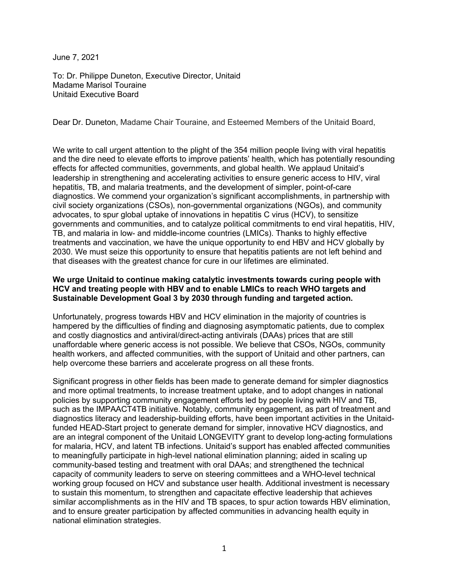June 7, 2021

To: Dr. Philippe Duneton, Executive Director, Unitaid Madame Marisol Touraine Unitaid Executive Board

Dear Dr. Duneton, Madame Chair Touraine, and Esteemed Members of the Unitaid Board,

We write to call urgent attention to the plight of the 354 million people living with viral hepatitis and the dire need to elevate efforts to improve patients' health, which has potentially resounding effects for affected communities, governments, and global health. We applaud Unitaid's leadership in strengthening and accelerating activities to ensure generic access to HIV, viral hepatitis, TB, and malaria treatments, and the development of simpler, point-of-care diagnostics. We commend your organization's significant accomplishments, in partnership with civil society organizations (CSOs), non-governmental organizations (NGOs), and community advocates, to spur global uptake of innovations in hepatitis C virus (HCV), to sensitize governments and communities, and to catalyze political commitments to end viral hepatitis, HIV, TB, and malaria in low- and middle-income countries (LMICs). Thanks to highly effective treatments and vaccination, we have the unique opportunity to end HBV and HCV globally by 2030. We must seize this opportunity to ensure that hepatitis patients are not left behind and that diseases with the greatest chance for cure in our lifetimes are eliminated.

## **We urge Unitaid to continue making catalytic investments towards curing people with HCV and treating people with HBV and to enable LMICs to reach WHO targets and Sustainable Development Goal 3 by 2030 through funding and targeted action.**

Unfortunately, progress towards HBV and HCV elimination in the majority of countries is hampered by the difficulties of finding and diagnosing asymptomatic patients, due to complex and costly diagnostics and antiviral/direct-acting antivirals (DAAs) prices that are still unaffordable where generic access is not possible. We believe that CSOs, NGOs, community health workers, and affected communities, with the support of Unitaid and other partners, can help overcome these barriers and accelerate progress on all these fronts.

Significant progress in other fields has been made to generate demand for simpler diagnostics and more optimal treatments, to increase treatment uptake, and to adopt changes in national policies by supporting community engagement efforts led by people living with HIV and TB, such as the IMPAACT4TB initiative. Notably, community engagement, as part of treatment and diagnostics literacy and leadership-building efforts, have been important activities in the Unitaidfunded HEAD-Start project to generate demand for simpler, innovative HCV diagnostics, and are an integral component of the Unitaid LONGEVITY grant to develop long-acting formulations for malaria, HCV, and latent TB infections. Unitaid's support has enabled affected communities to meaningfully participate in high-level national elimination planning; aided in scaling up community-based testing and treatment with oral DAAs; and strengthened the technical capacity of community leaders to serve on steering committees and a WHO-level technical working group focused on HCV and substance user health. Additional investment is necessary to sustain this momentum, to strengthen and capacitate effective leadership that achieves similar accomplishments as in the HIV and TB spaces, to spur action towards HBV elimination, and to ensure greater participation by affected communities in advancing health equity in national elimination strategies.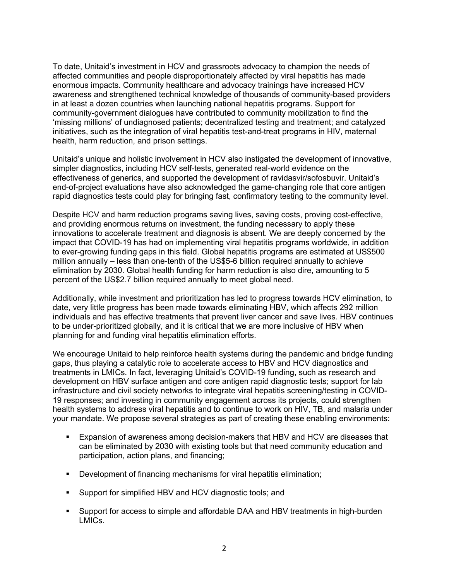To date, Unitaid's investment in HCV and grassroots advocacy to champion the needs of affected communities and people disproportionately affected by viral hepatitis has made enormous impacts. Community healthcare and advocacy trainings have increased HCV awareness and strengthened technical knowledge of thousands of community-based providers in at least a dozen countries when launching national hepatitis programs. Support for community-government dialogues have contributed to community mobilization to find the 'missing millions' of undiagnosed patients; decentralized testing and treatment; and catalyzed initiatives, such as the integration of viral hepatitis test-and-treat programs in HIV, maternal health, harm reduction, and prison settings.

Unitaid's unique and holistic involvement in HCV also instigated the development of innovative, simpler diagnostics, including HCV self-tests, generated real-world evidence on the effectiveness of generics, and supported the development of ravidasvir/sofosbuvir. Unitaid's end-of-project evaluations have also acknowledged the game-changing role that core antigen rapid diagnostics tests could play for bringing fast, confirmatory testing to the community level.

Despite HCV and harm reduction programs saving lives, saving costs, proving cost-effective, and providing enormous returns on investment, the funding necessary to apply these innovations to accelerate treatment and diagnosis is absent. We are deeply concerned by the impact that COVID-19 has had on implementing viral hepatitis programs worldwide, in addition to ever-growing funding gaps in this field. Global hepatitis programs are estimated at US\$500 million annually – less than one-tenth of the US\$5-6 billion required annually to achieve elimination by 2030. Global health funding for harm reduction is also dire, amounting to 5 percent of the US\$2.7 billion required annually to meet global need.

Additionally, while investment and prioritization has led to progress towards HCV elimination, to date, very little progress has been made towards eliminating HBV, which affects 292 million individuals and has effective treatments that prevent liver cancer and save lives. HBV continues to be under-prioritized globally, and it is critical that we are more inclusive of HBV when planning for and funding viral hepatitis elimination efforts.

We encourage Unitaid to help reinforce health systems during the pandemic and bridge funding gaps, thus playing a catalytic role to accelerate access to HBV and HCV diagnostics and treatments in LMICs. In fact, leveraging Unitaid's COVID-19 funding, such as research and development on HBV surface antigen and core antigen rapid diagnostic tests; support for lab infrastructure and civil society networks to integrate viral hepatitis screening/testing in COVID-19 responses; and investing in community engagement across its projects, could strengthen health systems to address viral hepatitis and to continue to work on HIV, TB, and malaria under your mandate. We propose several strategies as part of creating these enabling environments:

- § Expansion of awareness among decision-makers that HBV and HCV are diseases that can be eliminated by 2030 with existing tools but that need community education and participation, action plans, and financing;
- § Development of financing mechanisms for viral hepatitis elimination;
- Support for simplified HBV and HCV diagnostic tools; and
- § Support for access to simple and affordable DAA and HBV treatments in high-burden LMICs.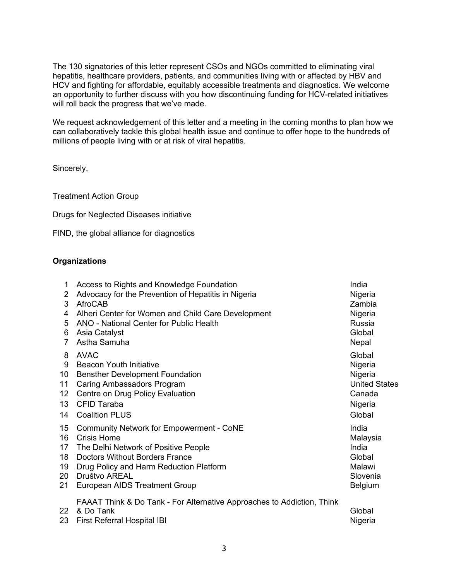The 130 signatories of this letter represent CSOs and NGOs committed to eliminating viral hepatitis, healthcare providers, patients, and communities living with or affected by HBV and HCV and fighting for affordable, equitably accessible treatments and diagnostics. We welcome an opportunity to further discuss with you how discontinuing funding for HCV-related initiatives will roll back the progress that we've made.

We request acknowledgement of this letter and a meeting in the coming months to plan how we can collaboratively tackle this global health issue and continue to offer hope to the hundreds of millions of people living with or at risk of viral hepatitis.

Sincerely,

Treatment Action Group

Drugs for Neglected Diseases initiative

FIND, the global alliance for diagnostics

## **Organizations**

| 1<br>2<br>3<br>4<br>5<br>6 | Access to Rights and Knowledge Foundation<br>Advocacy for the Prevention of Hepatitis in Nigeria<br><b>AfroCAB</b><br>Alheri Center for Women and Child Care Development<br>ANO - National Center for Public Health<br>Asia Catalyst<br>Astha Samuha | India<br>Nigeria<br>Zambia<br>Nigeria<br>Russia<br>Global<br>Nepal |
|----------------------------|------------------------------------------------------------------------------------------------------------------------------------------------------------------------------------------------------------------------------------------------------|--------------------------------------------------------------------|
| 8                          | <b>AVAC</b>                                                                                                                                                                                                                                          | Global                                                             |
| 9                          | <b>Beacon Youth Initiative</b>                                                                                                                                                                                                                       | Nigeria                                                            |
| 10                         | <b>Bensther Development Foundation</b>                                                                                                                                                                                                               | Nigeria                                                            |
| 11                         | Caring Ambassadors Program                                                                                                                                                                                                                           | <b>United States</b>                                               |
| $12 \overline{ }$          | Centre on Drug Policy Evaluation                                                                                                                                                                                                                     | Canada                                                             |
| 13                         | <b>CFID Taraba</b>                                                                                                                                                                                                                                   | Nigeria                                                            |
| 14                         | <b>Coalition PLUS</b>                                                                                                                                                                                                                                | Global                                                             |
| 15                         | Community Network for Empowerment - CoNE                                                                                                                                                                                                             | India                                                              |
| 16                         | Crisis Home                                                                                                                                                                                                                                          | Malaysia                                                           |
| 17                         | The Delhi Network of Positive People                                                                                                                                                                                                                 | India                                                              |
| 18                         | <b>Doctors Without Borders France</b>                                                                                                                                                                                                                | Global                                                             |
| 19                         | Drug Policy and Harm Reduction Platform                                                                                                                                                                                                              | Malawi                                                             |
| 20                         | Društvo AREAL                                                                                                                                                                                                                                        | Slovenia                                                           |
| 21                         | European AIDS Treatment Group                                                                                                                                                                                                                        | <b>Belgium</b>                                                     |
| 22<br>23                   | FAAAT Think & Do Tank - For Alternative Approaches to Addiction, Think<br>& Do Tank<br><b>First Referral Hospital IBI</b>                                                                                                                            | Global<br>Nigeria                                                  |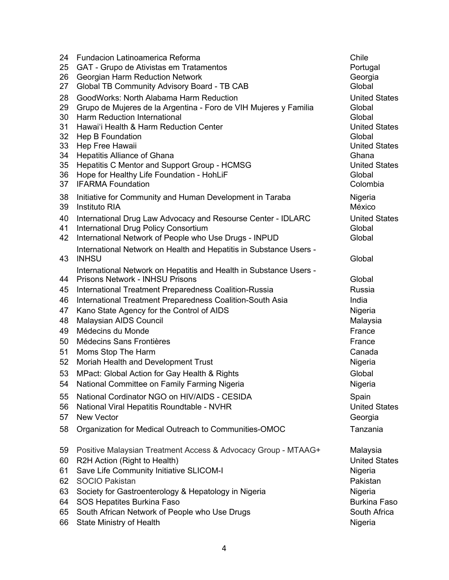| 24                                                                               | <b>Fundacion Latinoamerica Reforma</b>                                                                                                                                                                                                                                                                                                                                                                                                                                                                                                                                                                                                     | Chile                                                                                                                                                      |
|----------------------------------------------------------------------------------|--------------------------------------------------------------------------------------------------------------------------------------------------------------------------------------------------------------------------------------------------------------------------------------------------------------------------------------------------------------------------------------------------------------------------------------------------------------------------------------------------------------------------------------------------------------------------------------------------------------------------------------------|------------------------------------------------------------------------------------------------------------------------------------------------------------|
| 25                                                                               | GAT - Grupo de Ativistas em Tratamentos                                                                                                                                                                                                                                                                                                                                                                                                                                                                                                                                                                                                    | Portugal                                                                                                                                                   |
| 26                                                                               | <b>Georgian Harm Reduction Network</b>                                                                                                                                                                                                                                                                                                                                                                                                                                                                                                                                                                                                     | Georgia                                                                                                                                                    |
| 27                                                                               | Global TB Community Advisory Board - TB CAB                                                                                                                                                                                                                                                                                                                                                                                                                                                                                                                                                                                                | Global                                                                                                                                                     |
| 28                                                                               | GoodWorks: North Alabama Harm Reduction                                                                                                                                                                                                                                                                                                                                                                                                                                                                                                                                                                                                    | <b>United States</b>                                                                                                                                       |
| 29                                                                               | Grupo de Mujeres de la Argentina - Foro de VIH Mujeres y Familia                                                                                                                                                                                                                                                                                                                                                                                                                                                                                                                                                                           | Global                                                                                                                                                     |
| 30                                                                               | Harm Reduction International                                                                                                                                                                                                                                                                                                                                                                                                                                                                                                                                                                                                               | Global                                                                                                                                                     |
| 31                                                                               | Hawai'i Health & Harm Reduction Center                                                                                                                                                                                                                                                                                                                                                                                                                                                                                                                                                                                                     | <b>United States</b>                                                                                                                                       |
| 32                                                                               | Hep B Foundation                                                                                                                                                                                                                                                                                                                                                                                                                                                                                                                                                                                                                           | Global                                                                                                                                                     |
| 33                                                                               | Hep Free Hawaii                                                                                                                                                                                                                                                                                                                                                                                                                                                                                                                                                                                                                            | <b>United States</b>                                                                                                                                       |
| 34                                                                               | <b>Hepatitis Alliance of Ghana</b>                                                                                                                                                                                                                                                                                                                                                                                                                                                                                                                                                                                                         | Ghana                                                                                                                                                      |
| 35                                                                               | Hepatitis C Mentor and Support Group - HCMSG                                                                                                                                                                                                                                                                                                                                                                                                                                                                                                                                                                                               | <b>United States</b>                                                                                                                                       |
| 36                                                                               | Hope for Healthy Life Foundation - HohLiF                                                                                                                                                                                                                                                                                                                                                                                                                                                                                                                                                                                                  | Global                                                                                                                                                     |
| 37                                                                               | <b>IFARMA Foundation</b>                                                                                                                                                                                                                                                                                                                                                                                                                                                                                                                                                                                                                   | Colombia                                                                                                                                                   |
| 38                                                                               | Initiative for Community and Human Development in Taraba                                                                                                                                                                                                                                                                                                                                                                                                                                                                                                                                                                                   | Nigeria                                                                                                                                                    |
| 39                                                                               | <b>Instituto RIA</b>                                                                                                                                                                                                                                                                                                                                                                                                                                                                                                                                                                                                                       | México                                                                                                                                                     |
| 40                                                                               | International Drug Law Advocacy and Resourse Center - IDLARC                                                                                                                                                                                                                                                                                                                                                                                                                                                                                                                                                                               | <b>United States</b>                                                                                                                                       |
| 41                                                                               | International Drug Policy Consortium                                                                                                                                                                                                                                                                                                                                                                                                                                                                                                                                                                                                       | Global                                                                                                                                                     |
| 42                                                                               | International Network of People who Use Drugs - INPUD                                                                                                                                                                                                                                                                                                                                                                                                                                                                                                                                                                                      | Global                                                                                                                                                     |
| 43                                                                               | International Network on Health and Hepatitis in Substance Users -<br><b>INHSU</b>                                                                                                                                                                                                                                                                                                                                                                                                                                                                                                                                                         | Global                                                                                                                                                     |
| 44<br>45<br>46<br>47<br>48<br>49<br>50<br>51<br>52<br>53<br>54<br>55<br>56<br>57 | International Network on Hepatitis and Health in Substance Users -<br><b>Prisons Network - INHSU Prisons</b><br>International Treatment Preparedness Coalition-Russia<br>International Treatment Preparedness Coalition-South Asia<br>Kano State Agency for the Control of AIDS<br>Malaysian AIDS Council<br>Médecins du Monde<br>Médecins Sans Frontières<br>Moms Stop The Harm<br>Moriah Health and Development Trust<br>MPact: Global Action for Gay Health & Rights<br>National Committee on Family Farming Nigeria<br>National Cordinator NGO on HIV/AIDS - CESIDA<br>National Viral Hepatitis Roundtable - NVHR<br><b>New Vector</b> | Global<br>Russia<br>India<br>Nigeria<br>Malaysia<br>France<br>France<br>Canada<br>Nigeria<br>Global<br>Nigeria<br>Spain<br><b>United States</b><br>Georgia |
| 58                                                                               | Organization for Medical Outreach to Communities-OMOC                                                                                                                                                                                                                                                                                                                                                                                                                                                                                                                                                                                      | Tanzania                                                                                                                                                   |
| 59                                                                               | Positive Malaysian Treatment Access & Advocacy Group - MTAAG+                                                                                                                                                                                                                                                                                                                                                                                                                                                                                                                                                                              | Malaysia                                                                                                                                                   |
| 60                                                                               | R2H Action (Right to Health)                                                                                                                                                                                                                                                                                                                                                                                                                                                                                                                                                                                                               | <b>United States</b>                                                                                                                                       |
| 61                                                                               | Save Life Community Initiative SLICOM-I                                                                                                                                                                                                                                                                                                                                                                                                                                                                                                                                                                                                    | Nigeria                                                                                                                                                    |
| 62                                                                               | <b>SOCIO Pakistan</b>                                                                                                                                                                                                                                                                                                                                                                                                                                                                                                                                                                                                                      | Pakistan                                                                                                                                                   |
| 63                                                                               | Society for Gastroenterology & Hepatology in Nigeria                                                                                                                                                                                                                                                                                                                                                                                                                                                                                                                                                                                       | Nigeria                                                                                                                                                    |
| 64                                                                               | SOS Hepatites Burkina Faso                                                                                                                                                                                                                                                                                                                                                                                                                                                                                                                                                                                                                 | <b>Burkina Faso</b>                                                                                                                                        |
| 65                                                                               | South African Network of People who Use Drugs                                                                                                                                                                                                                                                                                                                                                                                                                                                                                                                                                                                              | South Africa                                                                                                                                               |
| 66                                                                               | <b>State Ministry of Health</b>                                                                                                                                                                                                                                                                                                                                                                                                                                                                                                                                                                                                            | Nigeria                                                                                                                                                    |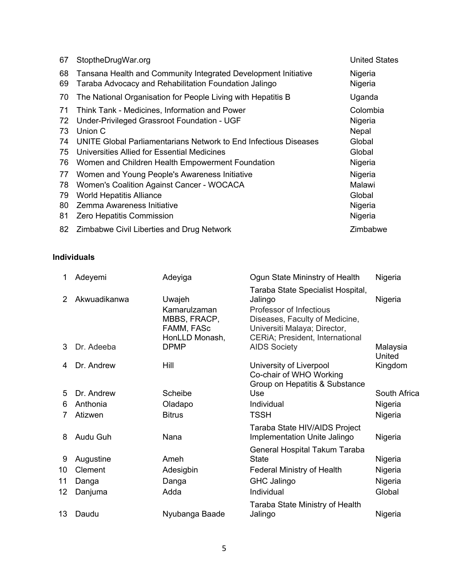| 67 | StoptheDrugWar.org                                               | <b>United States</b> |
|----|------------------------------------------------------------------|----------------------|
| 68 | Tansana Health and Community Integrated Development Initiative   | Nigeria              |
| 69 | Taraba Advocacy and Rehabilitation Foundation Jalingo            | Nigeria              |
| 70 | The National Organisation for People Living with Hepatitis B     | Uganda               |
| 71 | Think Tank - Medicines, Information and Power                    | Colombia             |
| 72 | Under-Privileged Grassroot Foundation - UGF                      | Nigeria              |
| 73 | Union C                                                          | Nepal                |
| 74 | UNITE Global Parliamentarians Network to End Infectious Diseases | Global               |
| 75 | Universities Allied for Essential Medicines                      | Global               |
| 76 | Women and Children Health Empowerment Foundation                 | Nigeria              |
| 77 | Women and Young People's Awareness Initiative                    | Nigeria              |
| 78 | Women's Coalition Against Cancer - WOCACA                        | Malawi               |
| 79 | <b>World Hepatitis Alliance</b>                                  | Global               |
| 80 | Zemma Awareness Initiative                                       | Nigeria              |
| 81 | <b>Zero Hepatitis Commission</b>                                 | Nigeria              |
| 82 | Zimbabwe Civil Liberties and Drug Network                        | Zimbabwe             |

## **Individuals**

| 1                  | Adeyemi                    | Adeyiga                                                                               | Ogun State Mininstry of Health                                                                                                                                                                      | Nigeria             |
|--------------------|----------------------------|---------------------------------------------------------------------------------------|-----------------------------------------------------------------------------------------------------------------------------------------------------------------------------------------------------|---------------------|
| $\mathcal{P}$<br>3 | Akwuadikanwa<br>Dr. Adeeba | Uwajeh<br>Kamarulzaman<br>MBBS, FRACP,<br>FAMM, FASc<br>HonLLD Monash,<br><b>DPMP</b> | Taraba State Specialist Hospital,<br>Jalingo<br>Professor of Infectious<br>Diseases, Faculty of Medicine,<br>Universiti Malaya; Director,<br>CERIA; President, International<br><b>AIDS Society</b> | Nigeria<br>Malaysia |
| 4                  | Dr. Andrew                 | Hill                                                                                  | University of Liverpool                                                                                                                                                                             | United<br>Kingdom   |
| 5                  | Dr. Andrew                 | Scheibe                                                                               | Co-chair of WHO Working<br>Group on Hepatitis & Substance<br>Use                                                                                                                                    | South Africa        |
| 6                  | Anthonia                   | Oladapo                                                                               | Individual                                                                                                                                                                                          | Nigeria             |
|                    | Atizwen                    | <b>Bitrus</b>                                                                         | <b>TSSH</b>                                                                                                                                                                                         | Nigeria             |
| 8                  | Audu Guh                   | Nana                                                                                  | Taraba State HIV/AIDS Project<br>Implementation Unite Jalingo                                                                                                                                       | Nigeria             |
| 9                  | Augustine                  | Ameh                                                                                  | General Hospital Takum Taraba<br><b>State</b>                                                                                                                                                       | Nigeria             |
| 10                 | Clement                    | Adesigbin                                                                             | <b>Federal Ministry of Health</b>                                                                                                                                                                   | Nigeria             |
| 11                 | Danga                      | Danga                                                                                 | <b>GHC Jalingo</b>                                                                                                                                                                                  | Nigeria             |
| 12                 | Danjuma                    | Adda                                                                                  | Individual                                                                                                                                                                                          | Global              |
| 13                 | Daudu                      | Nyubanga Baade                                                                        | Taraba State Ministry of Health<br>Jalingo                                                                                                                                                          | Nigeria             |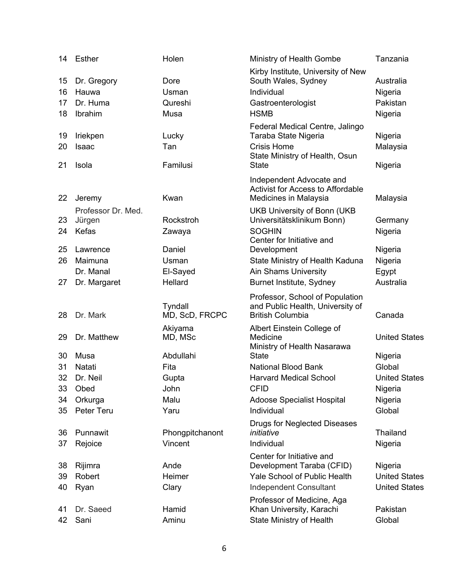| 14 | Esther             | Holen           | Ministry of Health Gombe                                          | Tanzania             |
|----|--------------------|-----------------|-------------------------------------------------------------------|----------------------|
| 15 | Dr. Gregory        | Dore            | Kirby Institute, University of New<br>South Wales, Sydney         | Australia            |
| 16 | Hauwa              | Usman           | Individual                                                        | Nigeria              |
| 17 | Dr. Huma           | Qureshi         | Gastroenterologist                                                | Pakistan             |
| 18 | Ibrahim            | Musa            | <b>HSMB</b>                                                       |                      |
|    |                    |                 |                                                                   | Nigeria              |
|    |                    |                 | Federal Medical Centre, Jalingo                                   |                      |
| 19 | Iriekpen           | Lucky           | Taraba State Nigeria                                              | Nigeria              |
| 20 | Isaac              | Tan             | <b>Crisis Home</b><br>State Ministry of Health, Osun              | Malaysia             |
| 21 | Isola              | Familusi        | <b>State</b>                                                      | Nigeria              |
|    |                    |                 |                                                                   |                      |
|    |                    |                 | Independent Advocate and                                          |                      |
| 22 | Jeremy             | Kwan            | <b>Activist for Access to Affordable</b><br>Medicines in Malaysia | Malaysia             |
|    |                    |                 |                                                                   |                      |
|    | Professor Dr. Med. | Rockstroh       | <b>UKB University of Bonn (UKB</b>                                |                      |
| 23 | Jürgen             |                 | Universitätsklinikum Bonn)                                        | Germany              |
| 24 | Kefas              | Zawaya          | <b>SOGHIN</b><br>Center for Initiative and                        | Nigeria              |
| 25 | Lawrence           | Daniel          | Development                                                       | Nigeria              |
| 26 | Maimuna            | Usman           | State Ministry of Health Kaduna                                   | Nigeria              |
|    | Dr. Manal          | El-Sayed        | <b>Ain Shams University</b>                                       | Egypt                |
| 27 | Dr. Margaret       | Hellard         |                                                                   | Australia            |
|    |                    |                 | Burnet Institute, Sydney                                          |                      |
|    |                    |                 | Professor, School of Population                                   |                      |
|    |                    |                 |                                                                   |                      |
|    |                    | Tyndall         | and Public Health, University of                                  |                      |
| 28 | Dr. Mark           | MD, ScD, FRCPC  | <b>British Columbia</b>                                           | Canada               |
|    |                    | Akiyama         | Albert Einstein College of                                        |                      |
| 29 | Dr. Matthew        | MD, MSc         | Medicine                                                          | <b>United States</b> |
|    |                    |                 | Ministry of Health Nasarawa                                       |                      |
| 30 | Musa               | Abdullahi       | <b>State</b>                                                      | Nigeria              |
| 31 | Natati             | Fita            | <b>National Blood Bank</b>                                        | Global               |
| 32 | Dr. Neil           | Gupta           | <b>Harvard Medical School</b>                                     | <b>United States</b> |
| 33 | Obed               | John            | <b>CFID</b>                                                       | Nigeria              |
| 34 | Orkurga            | Malu            | <b>Adoose Specialist Hospital</b>                                 | Nigeria              |
| 35 | Peter Teru         | Yaru            | Individual                                                        | Global               |
|    |                    |                 | Drugs for Neglected Diseases                                      |                      |
| 36 | Punnawit           | Phongpitchanont | initiative                                                        | <b>Thailand</b>      |
| 37 | Rejoice            | Vincent         | Individual                                                        | Nigeria              |
|    |                    |                 | Center for Initiative and                                         |                      |
| 38 | Rijimra            | Ande            | Development Taraba (CFID)                                         | Nigeria              |
| 39 | Robert             | Heimer          | <b>Yale School of Public Health</b>                               | <b>United States</b> |
| 40 | Ryan               | Clary           | Independent Consultant                                            | <b>United States</b> |
|    |                    |                 | Professor of Medicine, Aga                                        |                      |
| 41 | Dr. Saeed<br>Sani  | Hamid<br>Aminu  | Khan University, Karachi<br><b>State Ministry of Health</b>       | Pakistan<br>Global   |